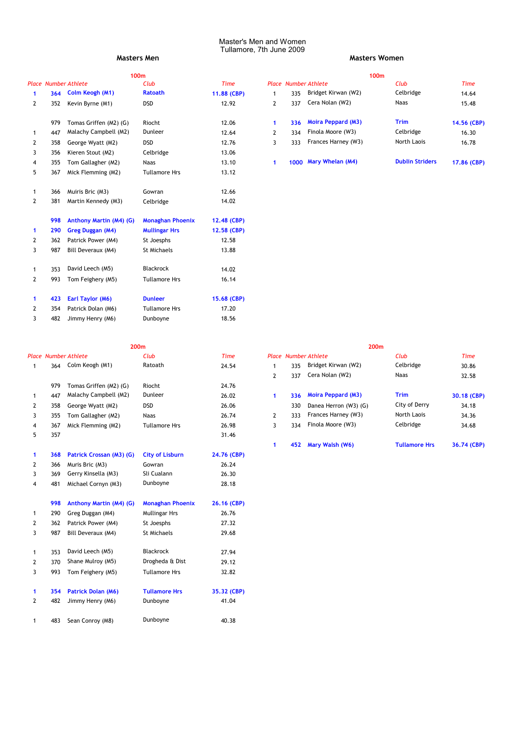|                |                             |                         | 100m                    |             |              |     |                             | 100m                   |             |
|----------------|-----------------------------|-------------------------|-------------------------|-------------|--------------|-----|-----------------------------|------------------------|-------------|
|                | <b>Place Number Athlete</b> |                         | Club                    | <b>Time</b> |              |     | <b>Place Number Athlete</b> | Club                   | <b>Time</b> |
| 1              | 364                         | Colm Keogh (M1)         | <b>Ratoath</b>          | 11.88 (CBP) | $\mathbf{1}$ | 335 | Bridget Kirwan (W2)         | Celbridge              | 14.64       |
| 2              | 352                         | Kevin Byrne (M1)        | <b>DSD</b>              | 12.92       | 2            | 337 | Cera Nolan (W2)             | <b>Naas</b>            | 15.48       |
|                | 979                         | Tomas Griffen (M2) (G)  | Riocht                  | 12.06       | 1            | 336 | <b>Moira Peppard (M3)</b>   | Trim                   | 14.56 (CBP) |
| 1              | 447                         | Malachy Campbell (M2)   | Dunleer                 | 12.64       | 2            | 334 | Finola Moore (W3)           | Celbridge              | 16.30       |
| 2              | 358                         | George Wyatt (M2)       | <b>DSD</b>              | 12.76       | 3            | 333 | Frances Harney (W3)         | North Laois            | 16.78       |
| 3              | 356                         | Kieren Stout (M2)       | Celbridge               | 13.06       |              |     |                             |                        |             |
| 4              | 355                         | Tom Gallagher (M2)      | <b>Naas</b>             | 13.10       | 1            |     | 1000 Mary Whelan (M4)       | <b>Dublin Striders</b> | 17.86 (CBP) |
| 5              | 367                         | Mick Flemming (M2)      | <b>Tullamore Hrs</b>    | 13.12       |              |     |                             |                        |             |
| 1              | 366                         | Muiris Bric (M3)        | Gowran                  | 12.66       |              |     |                             |                        |             |
| $\overline{2}$ | 381                         | Martin Kennedy (M3)     | Celbridge               | 14.02       |              |     |                             |                        |             |
|                | 998                         | Anthony Martin (M4) (G) | <b>Monaghan Phoenix</b> | 12.48 (CBP) |              |     |                             |                        |             |
| 1              | 290                         | Greg Duggan (M4)        | <b>Mullingar Hrs</b>    | 12.58 (CBP) |              |     |                             |                        |             |
| 2              | 362                         | Patrick Power (M4)      | St Joesphs              | 12.58       |              |     |                             |                        |             |
| 3              | 987                         | Bill Deveraux (M4)      | St Michaels             | 13.88       |              |     |                             |                        |             |
| $\mathbf{1}$   | 353                         | David Leech (M5)        | Blackrock               | 14.02       |              |     |                             |                        |             |
| 2              | 993                         | Tom Feighery (M5)       | <b>Tullamore Hrs</b>    | 16.14       |              |     |                             |                        |             |
| 1              | 423                         | Earl Taylor (M6)        | <b>Dunleer</b>          | 15.68 (CBP) |              |     |                             |                        |             |
| 2              | 354                         | Patrick Dolan (M6)      | <b>Tullamore Hrs</b>    | 17.20       |              |     |                             |                        |             |
| 3              | 482                         | Jimmy Henry (M6)        | Dunboyne                | 18.56       |              |     |                             |                        |             |

## **Masters Men Masters Women**

|     |                        | 100m           |             | 100m |     |                             |                        |             |  |  |
|-----|------------------------|----------------|-------------|------|-----|-----------------------------|------------------------|-------------|--|--|
|     | imber Athlete          | Club           | Time        |      |     | <b>Place Number Athlete</b> | Club                   | <b>Time</b> |  |  |
|     | 364 Colm Keogh (M1)    | <b>Ratoath</b> | 11.88 (CBP) |      | 335 | Bridget Kirwan (W2)         | Celbridge              | 14.64       |  |  |
| 352 | Kevin Byrne (M1)       | <b>DSD</b>     | 12.92       |      | 337 | Cera Nolan (W2)             | Naas                   | 15.48       |  |  |
| 979 | Tomas Griffen (M2) (G) | Riocht         | 12.06       |      | 336 | <b>Moira Peppard (M3)</b>   | <b>Trim</b>            | 14.56 (CBP) |  |  |
| 447 | Malachy Campbell (M2)  | Dunleer        | 12.64       |      | 334 | Finola Moore (W3)           | Celbridge              | 16.30       |  |  |
| 358 | George Wyatt (M2)      | <b>DSD</b>     | 12.76       |      | 333 | Frances Harney (W3)         | North Laois            | 16.78       |  |  |
| 356 | Kieren Stout (M2)      | Celbridge      | 13.06       |      |     |                             |                        |             |  |  |
| 355 | Tom Gallagher (M2)     | Naas           | 13.10       |      |     | 1000 Mary Whelan (M4)       | <b>Dublin Striders</b> | 17.86 (CBP) |  |  |

|              |     | <b>Place Number Athlete</b> | Club                    | <b>Time</b> |                |     | <b>Place Number Athlete</b> | Club                 | <b>Time</b> |
|--------------|-----|-----------------------------|-------------------------|-------------|----------------|-----|-----------------------------|----------------------|-------------|
|              | 364 | Colm Keogh (M1)             | Ratoath                 | 24.54       | 1              | 335 | Bridget Kirwan (W2)         | Celbridge            | 30.86       |
|              |     |                             |                         |             | 2              | 337 | Cera Nolan (W2)             | Naas                 | 32.58       |
|              | 979 | Tomas Griffen (M2) (G)      | Riocht                  | 24.76       |                |     |                             |                      |             |
| $\mathbf{1}$ | 447 | Malachy Campbell (M2)       | Dunleer                 | 26.02       | 1              | 336 | <b>Moira Peppard (M3)</b>   | <b>Trim</b>          | 30.18 (CBP) |
| 2            | 358 | George Wyatt (M2)           | <b>DSD</b>              | 26.06       |                | 330 | Danea Herron (W3) (G)       | City of Derry        | 34.18       |
| 3            | 355 | Tom Gallagher (M2)          | <b>Naas</b>             | 26.74       | $\overline{2}$ | 333 | Frances Harney (W3)         | North Laois          | 34.36       |
| 4            | 367 | Mick Flemming (M2)          | <b>Tullamore Hrs</b>    | 26.98       | 3              | 334 | Finola Moore (W3)           | Celbridge            | 34.68       |
| 5            | 357 |                             |                         | 31.46       |                |     |                             |                      |             |
|              |     |                             |                         |             | 1              | 452 | Mary Walsh (W6)             | <b>Tullamore Hrs</b> | 36.74 (CBP) |
| $\mathbf{1}$ | 368 | Patrick Crossan (M3) (G)    | <b>City of Lisburn</b>  | 24.76 (CBP) |                |     |                             |                      |             |
| 2            | 366 | Muris Bric (M3)             | Gowran                  | 26.24       |                |     |                             |                      |             |
| 3            | 369 | Gerry Kinsella (M3)         | Sli Cualann             | 26.30       |                |     |                             |                      |             |
| 4            | 481 | Michael Cornyn (M3)         | Dunboyne                | 28.18       |                |     |                             |                      |             |
|              | 998 | Anthony Martin (M4) (G)     | <b>Monaghan Phoenix</b> | 26.16 (CBP) |                |     |                             |                      |             |
| $\mathbf{1}$ | 290 | Greg Duggan (M4)            | Mullingar Hrs           | 26.76       |                |     |                             |                      |             |
| 2            | 362 | Patrick Power (M4)          | St Joesphs              | 27.32       |                |     |                             |                      |             |
| 3            | 987 | Bill Deveraux (M4)          | St Michaels             | 29.68       |                |     |                             |                      |             |
| 1            | 353 | David Leech (M5)            | Blackrock               | 27.94       |                |     |                             |                      |             |
| 2            | 370 | Shane Mulroy (M5)           | Drogheda & Dist         | 29.12       |                |     |                             |                      |             |
| 3            | 993 | Tom Feighery (M5)           | <b>Tullamore Hrs</b>    | 32.82       |                |     |                             |                      |             |
| $\mathbf{1}$ | 354 | Patrick Dolan (M6)          | <b>Tullamore Hrs</b>    | 35.32 (CBP) |                |     |                             |                      |             |
| 2            | 482 | Jimmy Henry (M6)            | Dunboyne                | 41.04       |                |     |                             |                      |             |
| 1            | 483 | Sean Conroy (M8)            | Dunboyne                | 40.38       |                |     |                             |                      |             |

| 200 <sub>m</sub>     |       |              |     | 200m                        |                      |             |
|----------------------|-------|--------------|-----|-----------------------------|----------------------|-------------|
| Club                 | Time  |              |     | <b>Place Number Athlete</b> | Club                 | <b>Time</b> |
| Ratoath              | 24.54 |              | 335 | Bridget Kirwan (W2)         | Celbridge            | 30.86       |
|                      |       | 2            | 337 | Cera Nolan (W2)             | Naas                 | 32.58       |
| Riocht               | 24.76 |              |     |                             |                      |             |
| Dunleer              | 26.02 | 1            | 336 | <b>Moira Peppard (M3)</b>   | <b>Trim</b>          | 30.18 (CBP) |
| <b>DSD</b>           | 26.06 |              | 330 | Danea Herron (W3) (G)       | City of Derry        | 34.18       |
| Naas                 | 26.74 | $\mathbf{2}$ | 333 | Frances Harney (W3)         | North Laois          | 34.36       |
| <b>Tullamore Hrs</b> | 26.98 | 3            | 334 | Finola Moore (W3)           | Celbridge            | 34.68       |
|                      | 31.46 |              |     |                             |                      |             |
|                      |       |              | 452 | Mary Walsh (W6)             | <b>Tullamore Hrs</b> | 36.74 (CBP) |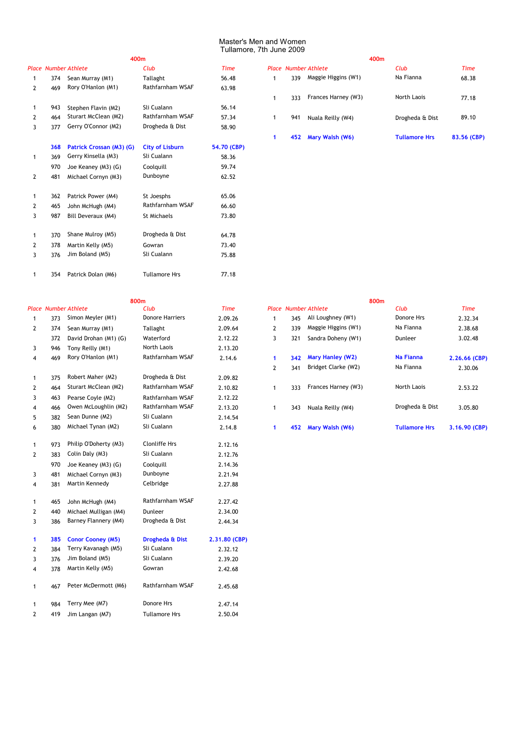## *Place Number Athlete Club Time Place Number Athlete Club Time* 1 374 Sean Murray (M1) 1 334 56.48 2 469 Rory O'Hanlon (M1) Rathfarnham WSAF 63.98 1 943 Stephen Flavin (M2) Sli Cualann 1 56.14 2 464 Sturart McClean (M2) Rathfarnham WSAF 57.34 1 941 Nuala Reilly (W4) Drogheda & Dist 89.10 3 377 Gerry O'Connor (M2) Drogheda & Dist 58.90 **268 Patrick Crossan (M3) (G)** City of Lisburn 54.70 (CBP) 1 369 Gerry Kinsella (M3) Sli Cualann 198.36 970 Joe Keaney (M3) (G) Coolquill 59.74 2 481 62.52 Michael Cornyn (M3) Dunboyne 1 362 Patrick Power (M4) 5t Joesphs 65.06 2 465 John McHugh (M4) Rathfarnham WSAF 66.60 3 987 St Michaels 73.80 Bill Deveraux (M4) 1 370 64.78 Shane Mulroy (M5) Drogheda & Dist 2 378 Martin Kelly (M5) Gowran 673.40 3 376 Sli Cualann 75.88 Jim Boland (M5) Rathfarnham WSAF Drogheda & Dist St Joesphs Gowran

| 400m             |       |   |     |                             | 400m                 |             |
|------------------|-------|---|-----|-----------------------------|----------------------|-------------|
| Club             | Time  |   |     | <b>Place Number Athlete</b> | Club                 | Time        |
| Tallaght         | 56.48 |   | 339 | Maggie Higgins (W1)         | Na Fianna            | 68.38       |
| Rathfarnham WSAF | 63.98 |   |     |                             |                      |             |
|                  |       | 1 | 333 | Frances Harney (W3)         | North Laois          | 77.18       |
| Sli Cualann      | 56.14 |   |     |                             |                      |             |
| Rathfarnham WSAF | 57.34 | 1 | 941 | Nuala Reilly (W4)           | Drogheda & Dist      | 89.10       |
| Drogheda & Dist  | 58.90 |   |     |                             |                      |             |
|                  |       |   | 452 | Mary Walsh (W6)             | <b>Tullamore Hrs</b> | 83.56 (CBP) |

1 354 77.18 Patrick Dolan (M6) Tullamore Hrs

|              |     | <b>Place Number Athlete</b> | Club                   | <b>Time</b>   |              |     | <b>Place Number Athlete</b> | Club                 | <b>Time</b>  |
|--------------|-----|-----------------------------|------------------------|---------------|--------------|-----|-----------------------------|----------------------|--------------|
| 1            | 373 | Simon Meyler (M1)           | <b>Donore Harriers</b> | 2.09.26       |              | 345 | Ali Loughney (W1)           | Donore Hrs           | 2.32.34      |
| 2            | 374 | Sean Murray (M1)            | Tallaght               | 2.09.64       | 2            | 339 | Maggie Higgins (W1)         | Na Fianna            | 2.38.68      |
|              | 372 | David Drohan (M1) (G)       | Waterford              | 2.12.22       | 3            | 321 | Sandra Doheny (W1)          | Dunleer              | 3.02.48      |
| 3            | 946 | Tony Reilly (M1)            | North Laois            | 2.13.20       |              |     |                             |                      |              |
| 4            | 469 | Rory O'Hanlon (M1)          | Rathfarnham WSAF       | 2.14.6        | $\mathbf{1}$ | 342 | <b>Mary Hanley (W2)</b>     | <b>Na Fianna</b>     | $2.26.66$ (C |
|              |     |                             |                        |               | 2            | 341 | Bridget Clarke (W2)         | Na Fianna            | 2.30.06      |
| 1            | 375 | Robert Maher (M2)           | Drogheda & Dist        | 2.09.82       |              |     |                             |                      |              |
| 2            | 464 | Sturart McClean (M2)        | Rathfarnham WSAF       | 2.10.82       | $\mathbf{1}$ | 333 | Frances Harney (W3)         | North Laois          | 2.53.22      |
| 3            | 463 | Pearse Coyle (M2)           | Rathfarnham WSAF       | 2.12.22       |              |     |                             |                      |              |
| 4            | 466 | Owen McLoughlin (M2)        | Rathfarnham WSAF       | 2.13.20       | $\mathbf{1}$ | 343 | Nuala Reilly (W4)           | Drogheda & Dist      | 3.05.80      |
| 5            | 382 | Sean Dunne (M2)             | Sli Cualann            | 2.14.54       |              |     |                             |                      |              |
| 6            | 380 | Michael Tynan (M2)          | Sli Cualann            | 2.14.8        | 1            | 452 | Mary Walsh (W6)             | <b>Tullamore Hrs</b> | 3.16.90 (C   |
| 1            | 973 | Philip O'Doherty (M3)       | <b>Clonliffe Hrs</b>   | 2.12.16       |              |     |                             |                      |              |
| 2            | 383 | Colin Daly (M3)             | Sli Cualann            | 2.12.76       |              |     |                             |                      |              |
|              | 970 | Joe Keaney (M3) (G)         | Coolquill              | 2.14.36       |              |     |                             |                      |              |
| 3            | 481 | Michael Cornyn (M3)         | Dunboyne               | 2.21.94       |              |     |                             |                      |              |
| 4            | 381 | Martin Kennedy              | Celbridge              | 2.27.88       |              |     |                             |                      |              |
| 1            | 465 | John McHugh (M4)            | Rathfarnham WSAF       | 2.27.42       |              |     |                             |                      |              |
| 2            | 440 | Michael Mulligan (M4)       | Dunleer                | 2.34.00       |              |     |                             |                      |              |
| 3            | 386 | Barney Flannery (M4)        | Drogheda & Dist        | 2.44.34       |              |     |                             |                      |              |
| $\mathbf{1}$ | 385 | <b>Conor Cooney (M5)</b>    | Drogheda & Dist        | 2.31.80 (CBP) |              |     |                             |                      |              |
| 2            | 384 | Terry Kavanagh (M5)         | Sli Cualann            | 2.32.12       |              |     |                             |                      |              |
| 3            | 376 | Jim Boland (M5)             | Sli Cualann            | 2.39.20       |              |     |                             |                      |              |
| 4            | 378 | Martin Kelly (M5)           | Gowran                 | 2.42.68       |              |     |                             |                      |              |
| $\mathbf{1}$ | 467 | Peter McDermott (M6)        | Rathfarnham WSAF       | 2.45.68       |              |     |                             |                      |              |
| 1            | 984 | Terry Mee (M7)              | Donore Hrs             | 2.47.14       |              |     |                             |                      |              |
| 2            | 419 | Jim Langan (M7)             | <b>Tullamore Hrs</b>   | 2.50.04       |              |     |                             |                      |              |

|   |     | 800 <sub>m</sub>      |                  |         |   |                             |                         | 800 <sub>m</sub> |                      |               |
|---|-----|-----------------------|------------------|---------|---|-----------------------------|-------------------------|------------------|----------------------|---------------|
|   |     | ace Number Athlete    | Club             | Time    |   | <b>Place Number Athlete</b> |                         |                  | Club                 | <b>Time</b>   |
|   | 373 | Simon Meyler (M1)     | Donore Harriers  | 2.09.26 |   | 345                         | Ali Loughney (W1)       |                  | Donore Hrs           | 2.32.34       |
| 2 | 374 | Sean Murray (M1)      | Tallaght         | 2.09.64 | 2 | 339                         | Maggie Higgins (W1)     |                  | Na Fianna            | 2.38.68       |
|   | 372 | David Drohan (M1) (G) | Waterford        | 2.12.22 | 3 | 321                         | Sandra Doheny (W1)      |                  | Dunleer              | 3.02.48       |
| 3 | 946 | Tony Reilly (M1)      | North Laois      | 2.13.20 |   |                             |                         |                  |                      |               |
| 4 | 469 | Rory O'Hanlon (M1)    | Rathfarnham WSAF | 2.14.6  |   | 342                         | <b>Mary Hanley (W2)</b> |                  | <b>Na Fianna</b>     | 2.26.66 (CBP) |
|   |     |                       |                  |         | 2 | 341                         | Bridget Clarke (W2)     |                  | Na Fianna            | 2.30.06       |
|   | 375 | Robert Maher (M2)     | Drogheda & Dist  | 2.09.82 |   |                             |                         |                  |                      |               |
| 2 | 464 | Sturart McClean (M2)  | Rathfarnham WSAF | 2.10.82 |   | 333                         | Frances Harney (W3)     |                  | North Laois          | 2.53.22       |
| 3 | 463 | Pearse Coyle (M2)     | Rathfarnham WSAF | 2.12.22 |   |                             |                         |                  |                      |               |
| 4 | 466 | Owen McLoughlin (M2)  | Rathfarnham WSAF | 2.13.20 |   | 343                         | Nuala Reilly (W4)       |                  | Drogheda & Dist      | 3.05.80       |
| 5 | 382 | Sean Dunne (M2)       | Sli Cualann      | 2.14.54 |   |                             |                         |                  |                      |               |
| 6 | 380 | Michael Tynan (M2)    | Sli Cualann      | 2.14.8  |   | 452                         | Mary Walsh (W6)         |                  | <b>Tullamore Hrs</b> | 3.16.90 (CBP) |
|   |     |                       |                  |         |   |                             |                         |                  |                      |               |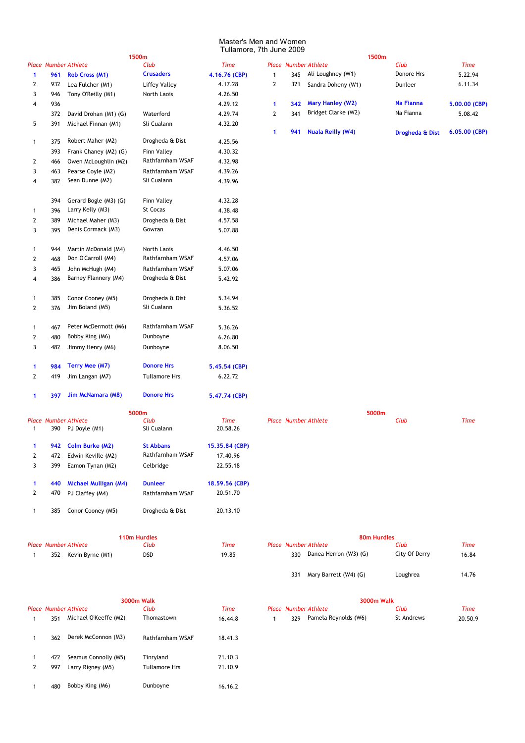|              |     |                                              | 1500m                |                         |   |     |                             | 1500m       |                  |               |
|--------------|-----|----------------------------------------------|----------------------|-------------------------|---|-----|-----------------------------|-------------|------------------|---------------|
|              |     | <b>Place Number Athlete</b>                  | Club                 | <b>Time</b>             |   |     | <b>Place Number Athlete</b> |             | Club             | <b>Time</b>   |
| 1            | 961 | <b>Rob Cross (M1)</b>                        | <b>Crusaders</b>     | 4.16.76 (CBP)           | 1 | 345 | Ali Loughney (W1)           |             | Donore Hrs       | 5.22.94       |
| 2            | 932 | Lea Fulcher (M1)                             | <b>Liffey Valley</b> | 4.17.28                 | 2 | 321 | Sandra Doheny (W1)          |             | Dunleer          | 6.11.34       |
| 3            | 946 | Tony O'Reilly (M1)                           | North Laois          | 4.26.50                 |   |     |                             |             |                  |               |
| 4            | 936 |                                              |                      | 4.29.12                 | 1 | 342 | <b>Mary Hanley (W2)</b>     |             | <b>Na Fianna</b> | 5.00.00 (CBP) |
|              | 372 | David Drohan (M1) (G)                        | Waterford            | 4.29.74                 | 2 | 341 | Bridget Clarke (W2)         |             | Na Fianna        | 5.08.42       |
| 5            | 391 | Michael Finnan (M1)                          | Sli Cualann          | 4.32.20                 |   |     |                             |             |                  |               |
|              |     |                                              |                      |                         | 1 | 941 | <b>Nuala Reilly (W4)</b>    |             | Drogheda & Dist  | 6.05.00 (CBP) |
| 1            | 375 | Robert Maher (M2)                            | Drogheda & Dist      | 4.25.56                 |   |     |                             |             |                  |               |
|              | 393 | Frank Chaney (M2) (G)                        | Finn Valley          | 4.30.32                 |   |     |                             |             |                  |               |
| 2            | 466 | Owen McLoughlin (M2)                         | Rathfarnham WSAF     | 4.32.98                 |   |     |                             |             |                  |               |
| 3            | 463 | Pearse Coyle (M2)                            | Rathfarnham WSAF     | 4.39.26                 |   |     |                             |             |                  |               |
| 4            | 382 | Sean Dunne (M2)                              | Sli Cualann          | 4.39.96                 |   |     |                             |             |                  |               |
|              | 394 | Gerard Bogle (M3) (G)                        | Finn Valley          | 4.32.28                 |   |     |                             |             |                  |               |
| 1            | 396 | Larry Kelly (M3)                             | St Cocas             | 4.38.48                 |   |     |                             |             |                  |               |
| 2            | 389 | Michael Maher (M3)                           | Drogheda & Dist      | 4.57.58                 |   |     |                             |             |                  |               |
| 3            | 395 | Denis Cormack (M3)                           | Gowran               | 5.07.88                 |   |     |                             |             |                  |               |
| 1            | 944 | Martin McDonald (M4)                         | North Laois          | 4.46.50                 |   |     |                             |             |                  |               |
| 2            | 468 | Don O'Carroll (M4)                           | Rathfarnham WSAF     | 4.57.06                 |   |     |                             |             |                  |               |
| 3            | 465 | John McHugh (M4)                             | Rathfarnham WSAF     | 5.07.06                 |   |     |                             |             |                  |               |
| 4            | 386 | Barney Flannery (M4)                         | Drogheda & Dist      | 5.42.92                 |   |     |                             |             |                  |               |
| 1            | 385 | Conor Cooney (M5)                            | Drogheda & Dist      | 5.34.94                 |   |     |                             |             |                  |               |
| 2            | 376 | Jim Boland (M5)                              | Sli Cualann          | 5.36.52                 |   |     |                             |             |                  |               |
| 1            | 467 | Peter McDermott (M6)                         | Rathfarnham WSAF     | 5.36.26                 |   |     |                             |             |                  |               |
| 2            | 480 | Bobby King (M6)                              | Dunboyne             | 6.26.80                 |   |     |                             |             |                  |               |
| 3            | 482 | Jimmy Henry (M6)                             | Dunboyne             | 8.06.50                 |   |     |                             |             |                  |               |
| 1            | 984 | Terry Mee (M7)                               | <b>Donore Hrs</b>    | 5.45.54 (CBP)           |   |     |                             |             |                  |               |
| 2            | 419 | Jim Langan (M7)                              | <b>Tullamore Hrs</b> | 6.22.72                 |   |     |                             |             |                  |               |
| 1            | 397 | Jim McNamara (M8)                            | <b>Donore Hrs</b>    | 5.47.74 (CBP)           |   |     |                             |             |                  |               |
|              |     |                                              | 5000m                |                         |   |     |                             | 5000m       |                  |               |
| 1            | 390 | <b>Place Number Athlete</b><br>PJ Doyle (M1) | Club<br>Sli Cualann  | <b>Time</b><br>20.58.26 |   |     | <b>Place Number Athlete</b> |             | Club             | <b>Time</b>   |
| 1            |     | 942 Colm Burke (M2)                          | <b>St Abbans</b>     | 15.35.84 (CBP)          |   |     |                             |             |                  |               |
| 2            | 472 | Edwin Keville (M2)                           | Rathfarnham WSAF     | 17.40.96                |   |     |                             |             |                  |               |
| 3            | 399 | Eamon Tynan (M2)                             | Celbridge            | 22.55.18                |   |     |                             |             |                  |               |
| 1            | 440 | <b>Michael Mulligan (M4)</b>                 | <b>Dunleer</b>       | 18.59.56 (CBP)          |   |     |                             |             |                  |               |
| 2            | 470 | PJ Claffey (M4)                              | Rathfarnham WSAF     | 20.51.70                |   |     |                             |             |                  |               |
| $\mathbf{1}$ | 385 | Conor Cooney (M5)                            | Drogheda & Dist      | 20.13.10                |   |     |                             |             |                  |               |
|              |     |                                              | 110m Hurdles         |                         |   |     |                             | 80m Hurdles |                  |               |
|              |     | <b>Place Number Athlete</b>                  | Club                 | <b>Time</b>             |   |     | <b>Place Number Athlete</b> |             | Club             | <b>Time</b>   |
| $\mathbf{1}$ |     | 352 Kevin Byrne (M1)                         | DSD                  | 19.85                   |   | 330 | Danea Herron (W3) (G)       |             | City Of Derry    | 16.84         |
|              |     |                                              |                      |                         |   | 331 | Mary Barrett (W4) (G)       |             | Loughrea         | 14.76         |

|   |     |                             | <b>SUUUM WAIK</b>    |         | <b>SUUUM WAIK</b> |     |                             |            |        |  |
|---|-----|-----------------------------|----------------------|---------|-------------------|-----|-----------------------------|------------|--------|--|
|   |     | <b>Place Number Athlete</b> | Club                 | Time    |                   |     | <b>Place Number Athlete</b> | Club       | Time   |  |
|   | 351 | Michael O'Keeffe (M2)       | Thomastown           | 16.44.8 |                   | 329 | Pamela Reynolds (W6)        | St Andrews | 20.50. |  |
|   | 362 | Derek McConnon (M3)         | Rathfarnham WSAF     | 18.41.3 |                   |     |                             |            |        |  |
|   | 422 | Seamus Connolly (M5)        | Tinryland            | 21.10.3 |                   |     |                             |            |        |  |
| 2 | 997 | Larry Rigney (M5)           | <b>Tullamore Hrs</b> | 21.10.9 |                   |     |                             |            |        |  |
|   | 480 | Bobby King (M6)             | Dunboyne             | 16.16.2 |                   |     |                             |            |        |  |

|     | lace Number Athlete   | Club          | Time  |
|-----|-----------------------|---------------|-------|
| 330 | Danea Herron (W3) (G) | City Of Derry | 16.84 |
| 331 | Mary Barrett (W4) (G) | Loughrea      | 14.76 |

| 3000m Walk |            |         | 3000m Walk |     |                             |            |         |  |  |  |  |
|------------|------------|---------|------------|-----|-----------------------------|------------|---------|--|--|--|--|
|            | Club       | Time    |            |     | <b>Place Number Athlete</b> | Club       | Time    |  |  |  |  |
|            | Thomastown | 16.44.8 |            | 329 | Pamela Reynolds (W6)        | St Andrews | 20.50.9 |  |  |  |  |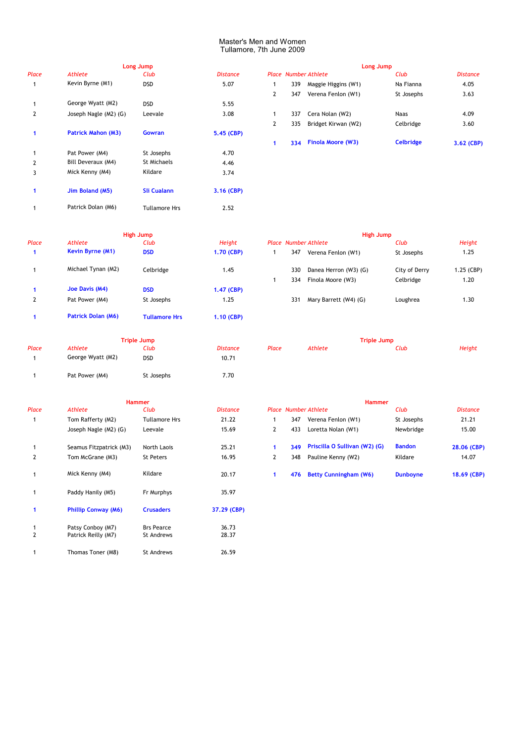|                |                           | Long Jump            |                 |              |     | <b>Long Jump</b>            |                  |                 |
|----------------|---------------------------|----------------------|-----------------|--------------|-----|-----------------------------|------------------|-----------------|
| Place          | <b>Athlete</b>            | Club                 | <b>Distance</b> |              |     | <b>Place Number Athlete</b> | Club             | <b>Distance</b> |
| 1              | Kevin Byrne (M1)          | <b>DSD</b>           | 5.07            |              | 339 | Maggie Higgins (W1)         | Na Fianna        | 4.05            |
|                |                           |                      |                 | $\mathbf{2}$ | 347 | Verena Fenlon (W1)          | St Josephs       | 3.63            |
|                | George Wyatt (M2)         | <b>DSD</b>           | 5.55            |              |     |                             |                  |                 |
| $\overline{2}$ | Joseph Nagle (M2) (G)     | Leevale              | 3.08            |              | 337 | Cera Nolan (W2)             | Naas             | 4.09            |
|                |                           |                      |                 | $\mathbf{2}$ | 335 | Bridget Kirwan (W2)         | Celbridge        | 3.60            |
| 1              | <b>Patrick Mahon (M3)</b> | <b>Gowran</b>        | 5.45 (CBP)      |              |     |                             |                  |                 |
|                |                           |                      |                 | 1.           | 334 | <b>Finola Moore (W3)</b>    | <b>Celbridge</b> | 3.62 (CBF       |
|                | Pat Power (M4)            | St Josephs           | 4.70            |              |     |                             |                  |                 |
| 2              | Bill Deveraux (M4)        | St Michaels          | 4.46            |              |     |                             |                  |                 |
| 3              | Mick Kenny (M4)           | Kildare              | 3.74            |              |     |                             |                  |                 |
|                | Jim Boland (M5)           | <b>Sli Cualann</b>   | 3.16 (CBP)      |              |     |                             |                  |                 |
|                | Patrick Dolan (M6)        | <b>Tullamore Hrs</b> | 2.52            |              |     |                             |                  |                 |
|                |                           |                      |                 |              |     |                             |                  |                 |

|   |     |                          | Long Jump        |                 |
|---|-----|--------------------------|------------------|-----------------|
|   |     | Place Number Athlete     | Club             | <b>Distance</b> |
| 1 | 339 | Maggie Higgins (W1)      | Na Fianna        | 4.05            |
| 2 | 347 | Verena Fenlon (W1)       | St Josephs       | 3.63            |
|   |     |                          |                  |                 |
| 1 | 337 | Cera Nolan (W2)          | Naas             | 4.09            |
| 2 | 335 | Bridget Kirwan (W2)      | Celbridge        | 3.60            |
|   |     |                          |                  |                 |
|   | 334 | <b>Finola Moore (W3)</b> | <b>Celbridge</b> | 3.62 (CBP)      |

|       | High Jump                 |                      |               |                             |     | <b>High Jump</b>      |               |            |  |  |  |  |
|-------|---------------------------|----------------------|---------------|-----------------------------|-----|-----------------------|---------------|------------|--|--|--|--|
| Place | Athlete                   | Club                 | <b>Height</b> | <b>Place Number Athlete</b> |     |                       | Club          | Height     |  |  |  |  |
|       | <b>Kevin Byrne (M1)</b>   | <b>DSD</b>           | 1.70 (CBP)    |                             | 347 | Verena Fenlon (W1)    | St Josephs    | 1.25       |  |  |  |  |
|       | Michael Tynan (M2)        | Celbridge            | 1.45          |                             | 330 | Danea Herron (W3) (G) | City of Derry | 1.25 (CBP) |  |  |  |  |
|       |                           |                      |               |                             | 334 | Finola Moore (W3)     | Celbridge     | 1.20       |  |  |  |  |
|       | Joe Davis (M4)            | <b>DSD</b>           | 1.47 (CBP)    |                             |     |                       |               |            |  |  |  |  |
| 2     | Pat Power (M4)            | St Josephs           | 1.25          |                             | 331 | Mary Barrett (W4) (G) | Loughrea      | 1.30       |  |  |  |  |
|       | <b>Patrick Dolan (M6)</b> | <b>Tullamore Hrs</b> | 1.10 (CBP)    |                             |     |                       |               |            |  |  |  |  |

1 Pat Power (M4) St Josephs 7.70

St Josephs

**Triple Jump**<br> **Club Distance** 

| mp         |            |     | High Jump                   |               |            |
|------------|------------|-----|-----------------------------|---------------|------------|
| Club       | Height     |     | <b>Place Number Athlete</b> | Club          | Height     |
| DSD        | 1.70 (CBP) | 347 | Verena Fenlon (W1)          | St Josephs    | 1.25       |
| Celbridge  | 1.45       | 330 | Danea Herron (W3) (G)       | City of Derry | 1.25 (CBP) |
|            |            | 334 | Finola Moore (W3)           | Celbridge     | 1.20       |
| DSD        | 1.47 (CBP) |     |                             |               |            |
| St Josephs | 1.25       | 331 | Mary Barrett (W4) (G)       | Loughrea      | 1.30       |
|            |            |     |                             |               |            |

| Triple Jump |                   |            |                 | <b>Triple Jump</b> |         |      |        |  |
|-------------|-------------------|------------|-----------------|--------------------|---------|------|--------|--|
| Place       | Athlete           | Club       | <b>Distance</b> | Place              | Athlete | Club | Height |  |
|             | George Wyatt (M2) | <b>DSD</b> | 10.71           |                    |         |      |        |  |

|       |                            | <b>Hammer</b>        |                 |              |     | <b>Hammer</b>                 |                 |
|-------|----------------------------|----------------------|-----------------|--------------|-----|-------------------------------|-----------------|
| Place | Athlete                    | Club                 | <b>Distance</b> |              |     | Place Number Athlete          | Club            |
|       | Tom Rafferty (M2)          | <b>Tullamore Hrs</b> | 21.22           | 1            | 347 | Verena Fenlon (W1)            | St Josephs      |
|       | Joseph Nagle (M2) (G)      | Leevale              | 15.69           | $\mathbf{2}$ | 433 | Loretta Nolan (W1)            | Newbridge       |
|       | Seamus Fitzpatrick (M3)    | North Laois          | 25.21           | 1.           | 349 | Priscilla O Sullivan (W2) (G) | <b>Bandon</b>   |
| 2     | Tom McGrane (M3)           | St Peters            | 16.95           | $\mathbf{2}$ | 348 | Pauline Kenny (W2)            | Kildare         |
|       | Mick Kenny (M4)            | Kildare              | 20.17           | 1            | 476 | <b>Betty Cunningham (W6)</b>  | <b>Dunboyne</b> |
|       | Paddy Hanily (M5)          | Fr Murphys           | 35.97           |              |     |                               |                 |
|       | <b>Phillip Conway (M6)</b> | <b>Crusaders</b>     | 37.29 (CBP)     |              |     |                               |                 |
|       | Patsy Conboy (M7)          | <b>Brs Pearce</b>    | 36.73           |              |     |                               |                 |
| 2     | Patrick Reilly (M7)        | St Andrews           | 28.37           |              |     |                               |                 |
|       | Thomas Toner (M8)          | St Andrews           | 26.59           |              |     |                               |                 |

|     | <b>Hammer</b>           |                      |                 |  | <b>Hammer</b> |                               |                 |                 |  |  |  |
|-----|-------------------------|----------------------|-----------------|--|---------------|-------------------------------|-----------------|-----------------|--|--|--|
| асе | <b>Athlete</b>          | Club                 | <b>Distance</b> |  |               | <b>Place Number Athlete</b>   | Club            | <b>Distance</b> |  |  |  |
|     | Tom Rafferty (M2)       | <b>Tullamore Hrs</b> | 21.22           |  | 347           | Verena Fenlon (W1)            | St Josephs      | 21.21           |  |  |  |
|     | Joseph Nagle (M2) (G)   | Leevale              | 15.69           |  | 433           | Loretta Nolan (W1)            | Newbridge       | 15.00           |  |  |  |
|     | Seamus Fitzpatrick (M3) | North Laois          | 25.21           |  | 349           | Priscilla O Sullivan (W2) (G) | <b>Bandon</b>   | 28.06 (CBP)     |  |  |  |
|     | Tom McGrane (M3)        | St Peters            | 16.95           |  | 348           | Pauline Kenny (W2)            | Kildare         | 14.07           |  |  |  |
|     | Mick Kenny (M4)         | Kildare              | 20.17           |  | 476           | <b>Betty Cunningham (W6)</b>  | <b>Dunboyne</b> | 18.69 (CBP)     |  |  |  |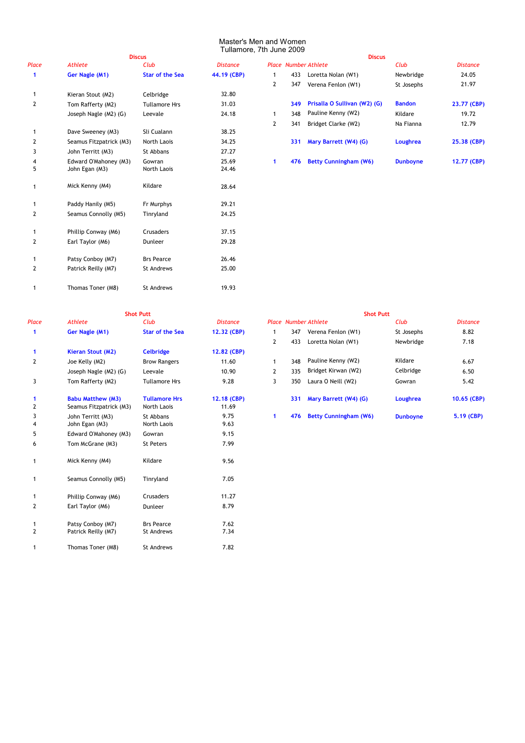# Master's Men and Women

|                      |                         | <b>Discus</b>          |                 |                |     | <b>Discus</b>                |                 |                 |
|----------------------|-------------------------|------------------------|-----------------|----------------|-----|------------------------------|-----------------|-----------------|
| Place                | <b>Athlete</b>          | Club                   | <b>Distance</b> |                |     | <b>Place Number Athlete</b>  | Club            | <b>Distance</b> |
| $\blacktriangleleft$ | Ger Nagle (M1)          | <b>Star of the Sea</b> | 44.19 (CBP)     | -1             | 433 | Loretta Nolan (W1)           | Newbridge       | 24.05           |
|                      |                         |                        |                 | $\overline{2}$ | 347 | Verena Fenlon (W1)           | St Josephs      | 21.97           |
| $\mathbf{1}$         | Kieran Stout (M2)       | Celbridge              | 32.80           |                |     |                              |                 |                 |
| $\overline{2}$       | Tom Rafferty (M2)       | <b>Tullamore Hrs</b>   | 31.03           |                | 349 | Prisalla O Sullivan (W2) (G) | <b>Bandon</b>   | 23.77 (CB       |
|                      | Joseph Nagle (M2) (G)   | Leevale                | 24.18           | 1              | 348 | Pauline Kenny (W2)           | Kildare         | 19.72           |
|                      |                         |                        |                 | $\mathbf{2}$   | 341 | Bridget Clarke (W2)          | Na Fianna       | 12.79           |
| $\mathbf{1}$         | Dave Sweeney (M3)       | Sli Cualann            | 38.25           |                |     |                              |                 |                 |
| 2                    | Seamus Fitzpatrick (M3) | North Laois            | 34.25           |                | 331 | Mary Barrett (W4) (G)        | Loughrea        | 25.38 (CB       |
| 3                    | John Territt (M3)       | St Abbans              | 27.27           |                |     |                              |                 |                 |
| 4                    | Edward O'Mahoney (M3)   | Gowran                 | 25.69           | $\mathbf{1}$   | 476 | <b>Betty Cunningham (W6)</b> | <b>Dunboyne</b> | 12.77 (CB       |
| 5                    | John Egan (M3)          | North Laois            | 24.46           |                |     |                              |                 |                 |
| 1                    | Mick Kenny (M4)         | Kildare                | 28.64           |                |     |                              |                 |                 |
| 1                    | Paddy Hanily (M5)       | Fr Murphys             | 29.21           |                |     |                              |                 |                 |
| 2                    | Seamus Connolly (M5)    | Tinryland              | 24.25           |                |     |                              |                 |                 |
| $\mathbf{1}$         | Phillip Conway (M6)     | Crusaders              | 37.15           |                |     |                              |                 |                 |
| 2                    | Earl Taylor (M6)        | Dunleer                | 29.28           |                |     |                              |                 |                 |
| 1                    | Patsy Conboy (M7)       | <b>Brs Pearce</b>      | 26.46           |                |     |                              |                 |                 |
| 2                    | Patrick Reilly (M7)     | St Andrews             | 25.00           |                |     |                              |                 |                 |
|                      | Thomas Toner (M8)       | <b>St Andrews</b>      | 19.93           |                |     |                              |                 |                 |
|                      |                         |                        |                 |                |     |                              |                 |                 |

|     |                         |                        | Tullamore, 7th June 2009 |              |     |                              |                 |                 |
|-----|-------------------------|------------------------|--------------------------|--------------|-----|------------------------------|-----------------|-----------------|
|     |                         | <b>Discus</b>          |                          |              |     | <b>Discus</b>                |                 |                 |
| ace | Athlete                 | Club                   | <b>Distance</b>          |              |     | <b>Place Number Athlete</b>  | Club            | <b>Distance</b> |
|     | Ger Nagle (M1)          | <b>Star of the Sea</b> | 44.19 (CBP)              |              | 433 | Loretta Nolan (W1)           | Newbridge       | 24.05           |
|     |                         |                        |                          | $\mathbf{2}$ | 347 | Verena Fenlon (W1)           | St Josephs      | 21.97           |
|     | Kieran Stout (M2)       | Celbridge              | 32.80                    |              |     |                              |                 |                 |
|     | Tom Rafferty (M2)       | <b>Tullamore Hrs</b>   | 31.03                    |              | 349 | Prisalla O Sullivan (W2) (G) | <b>Bandon</b>   | 23.77 (CBP)     |
|     | Joseph Nagle (M2) (G)   | Leevale                | 24.18                    |              | 348 | Pauline Kenny (W2)           | Kildare         | 19.72           |
|     |                         |                        |                          | $\mathbf{2}$ | 341 | Bridget Clarke (W2)          | Na Fianna       | 12.79           |
|     | Dave Sweeney (M3)       | Sli Cualann            | 38.25                    |              |     |                              |                 |                 |
|     | Seamus Fitzpatrick (M3) | North Laois            | 34.25                    |              | 331 | Mary Barrett (W4) (G)        | Loughrea        | 25.38 (CBP)     |
|     | John Territt (M3)       | St Abbans              | 27.27                    |              |     |                              |                 |                 |
| 4   | Edward O'Mahoney (M3)   | Gowran                 | 25.69                    |              | 476 | <b>Betty Cunningham (W6)</b> | <b>Dunboyne</b> | 12.77 (CBP)     |
|     |                         |                        |                          |              |     |                              |                 |                 |

| $\mathbf{1}$      | Ger Nagle (M1)                                      | <b>Star of the Sea</b>              | 12.32 (CBP)          | 1              | 347 | Verena Fenlon (W1)           | St Josephs      | 8.82       |
|-------------------|-----------------------------------------------------|-------------------------------------|----------------------|----------------|-----|------------------------------|-----------------|------------|
|                   |                                                     |                                     |                      | 2              | 433 | Loretta Nolan (W1)           | Newbridge       | 7.18       |
| $\mathbf{1}$      | Kieran Stout (M2)                                   | <b>Celbridge</b>                    | 12.82 (CBP)          |                |     |                              |                 |            |
| 2                 | Joe Kelly (M2)                                      | <b>Brow Rangers</b>                 | 11.60                | $\mathbf{1}$   | 348 | Pauline Kenny (W2)           | Kildare         | 6.67       |
|                   | Joseph Nagle (M2) (G)                               | Leevale                             | 10.90                | $\overline{2}$ | 335 | Bridget Kirwan (W2)          | Celbridge       | 6.50       |
| 3                 | Tom Rafferty (M2)                                   | <b>Tullamore Hrs</b>                | 9.28                 | 3              | 350 | Laura O Neill (W2)           | Gowran          | 5.42       |
| $\mathbf{1}$<br>2 | <b>Babu Matthew (M3)</b><br>Seamus Fitzpatrick (M3) | <b>Tullamore Hrs</b><br>North Laois | 12.18 (CBP)<br>11.69 |                | 331 | Mary Barrett (W4) (G)        | Loughrea        | 10.65 (CBP |
| 3<br>4            | John Territt (M3)<br>John Egan (M3)                 | St Abbans<br>North Laois            | 9.75<br>9.63         | 1              | 476 | <b>Betty Cunningham (W6)</b> | <b>Dunboyne</b> | 5.19 (CBP) |
| 5                 | Edward O'Mahoney (M3)                               | Gowran                              | 9.15                 |                |     |                              |                 |            |
| 6                 | Tom McGrane (M3)                                    | St Peters                           | 7.99                 |                |     |                              |                 |            |
| $\mathbf{1}$      | Mick Kenny (M4)                                     | Kildare                             | 9.56                 |                |     |                              |                 |            |
| 1                 | Seamus Connolly (M5)                                | Tinryland                           | 7.05                 |                |     |                              |                 |            |
| 1                 | Phillip Conway (M6)                                 | Crusaders                           | 11.27                |                |     |                              |                 |            |
| 2                 | Earl Taylor (M6)                                    | Dunleer                             | 8.79                 |                |     |                              |                 |            |
| 1<br>2            | Patsy Conboy (M7)<br>Patrick Reilly (M7)            | <b>Brs Pearce</b><br>St Andrews     | 7.62<br>7.34         |                |     |                              |                 |            |
| $\mathbf{1}$      | Thomas Toner (M8)                                   | St Andrews                          | 7.82                 |                |     |                              |                 |            |

|       |                          | <b>Shot Putt</b>       |                 | <b>Shot Putt</b> |     |                              |                 |                 |  |  |
|-------|--------------------------|------------------------|-----------------|------------------|-----|------------------------------|-----------------|-----------------|--|--|
| Place | Athlete                  | Club                   | <b>Distance</b> |                  |     | <b>Place Number Athlete</b>  | Club            | <b>Distance</b> |  |  |
|       | Ger Nagle (M1)           | <b>Star of the Sea</b> | 12.32 (CBP)     |                  | 347 | Verena Fenlon (W1)           | St Josephs      | 8.82            |  |  |
|       |                          |                        |                 | 2                | 433 | Loretta Nolan (W1)           | Newbridge       | 7.18            |  |  |
|       | <b>Kieran Stout (M2)</b> | <b>Celbridge</b>       | 12.82 (CBP)     |                  |     |                              |                 |                 |  |  |
| 2     | Joe Kelly (M2)           | <b>Brow Rangers</b>    | 11.60           |                  | 348 | Pauline Kenny (W2)           | Kildare         | 6.67            |  |  |
|       | Joseph Nagle (M2) (G)    | Leevale                | 10.90           | $\mathbf{2}$     | 335 | Bridget Kirwan (W2)          | Celbridge       | 6.50            |  |  |
| 3     | Tom Rafferty (M2)        | <b>Tullamore Hrs</b>   | 9.28            | 3                | 350 | Laura O Neill (W2)           | Gowran          | 5.42            |  |  |
|       | <b>Babu Matthew (M3)</b> | <b>Tullamore Hrs</b>   | 12.18 (CBP)     |                  | 331 | Mary Barrett (W4) (G)        | Loughrea        | 10.65 (CBP)     |  |  |
| 2     | Seamus Fitzpatrick (M3)  | North Laois            | 11.69           |                  |     |                              |                 |                 |  |  |
| 3     | John Territt (M3)        | St Abbans              | 9.75            |                  | 476 | <b>Betty Cunningham (W6)</b> | <b>Dunboyne</b> | 5.19 (CBP)      |  |  |
|       | $\blacksquare$           | $\cdots$               | $\sim$ $\sim$   |                  |     |                              |                 |                 |  |  |